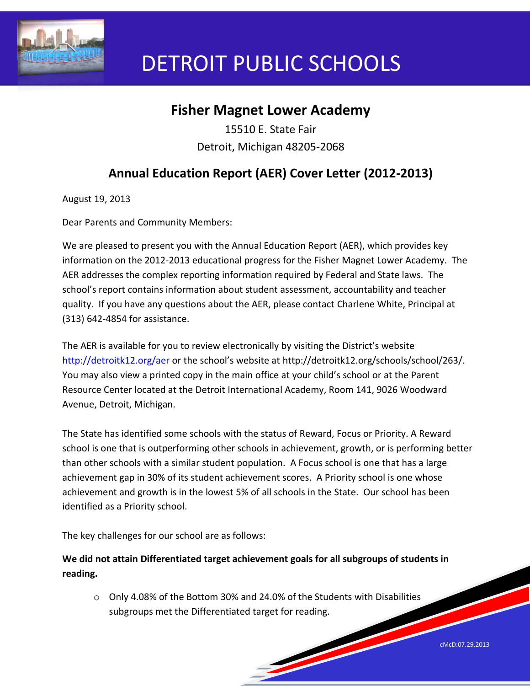

# DETROIT PUBLIC SCHOOLS

# **Fisher Magnet Lower Academy**

15510 E. State Fair Detroit, Michigan 48205-2068

## **Annual Education Report (AER) Cover Letter (2012-2013)**

August 19, 2013

Dear Parents and Community Members:

We are pleased to present you with the Annual Education Report (AER), which provides key information on the 2012-2013 educational progress for the Fisher Magnet Lower Academy. The AER addresses the complex reporting information required by Federal and State laws. The school's report contains information about student assessment, accountability and teacher quality. If you have any questions about the AER, please contact Charlene White, Principal at (313) 642-4854 for assistance.

The AER is available for you to review electronically by visiting the District's website http://detroitk12.org/aer or the school's website at http://detroitk12.org/schools/school/263/. You may also view a printed copy in the main office at your child's school or at the Parent Resource Center located at the Detroit International Academy, Room 141, 9026 Woodward Avenue, Detroit, Michigan.

The State has identified some schools with the status of Reward, Focus or Priority. A Reward school is one that is outperforming other schools in achievement, growth, or is performing better than other schools with a similar student population. A Focus school is one that has a large achievement gap in 30% of its student achievement scores. A Priority school is one whose achievement and growth is in the lowest 5% of all schools in the State. Our school has been identified as a Priority school.

The key challenges for our school are as follows:

**We did not attain Differentiated target achievement goals for all subgroups of students in reading.** 

 $\circ$  Only 4.08% of the Bottom 30% and 24.0% of the Students with Disabilities subgroups met the Differentiated target for reading.

cMcD:07.29.2013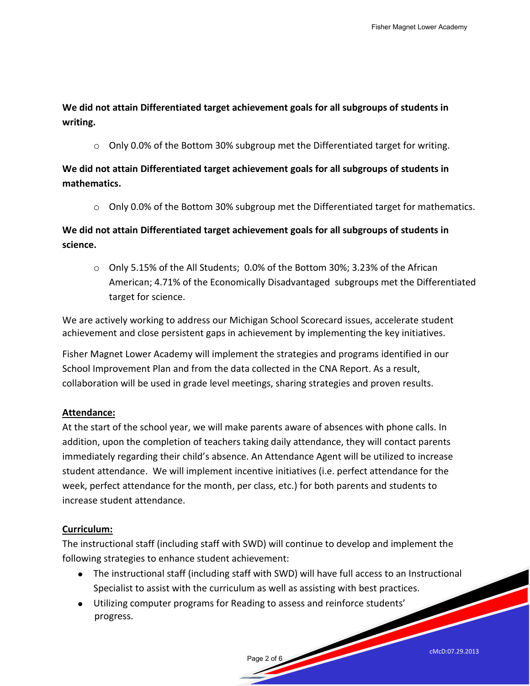**We did not attain Differentiated target achievement goals for all subgroups of students in writing.** 

o Only 0.0% of the Bottom 30% subgroup met the Differentiated target for writing.

**We did not attain Differentiated target achievement goals for all subgroups of students in mathematics.** 

 $\circ$  Only 0.0% of the Bottom 30% subgroup met the Differentiated target for mathematics.

**We did not attain Differentiated target achievement goals for all subgroups of students in science.** 

 $\circ$  Only 5.15% of the All Students; 0.0% of the Bottom 30%; 3.23% of the African American; 4.71% of the Economically Disadvantaged subgroups met the Differentiated target for science.

We are actively working to address our Michigan School Scorecard issues, accelerate student achievement and close persistent gaps in achievement by implementing the key initiatives.

Fisher Magnet Lower Academy will implement the strategies and programs identified in our School Improvement Plan and from the data collected in the CNA Report. As a result, collaboration will be used in grade level meetings, sharing strategies and proven results.

## **Attendance:**

At the start of the school year, we will make parents aware of absences with phone calls. In addition, upon the completion of teachers taking daily attendance, they will contact parents immediately regarding their child's absence. An Attendance Agent will be utilized to increase student attendance. We will implement incentive initiatives (i.e. perfect attendance for the week, perfect attendance for the month, per class, etc.) for both parents and students to increase student attendance.

## **Curriculum:**

The instructional staff (including staff with SWD) will continue to develop and implement the following strategies to enhance student achievement:

The instructional staff (including staff with SWD) will have full access to an Instructional Specialist to assist with the curriculum as well as assisting with best practices.

Page 2 of 6

Utilizing computer programs for Reading to assess and reinforce students' progress.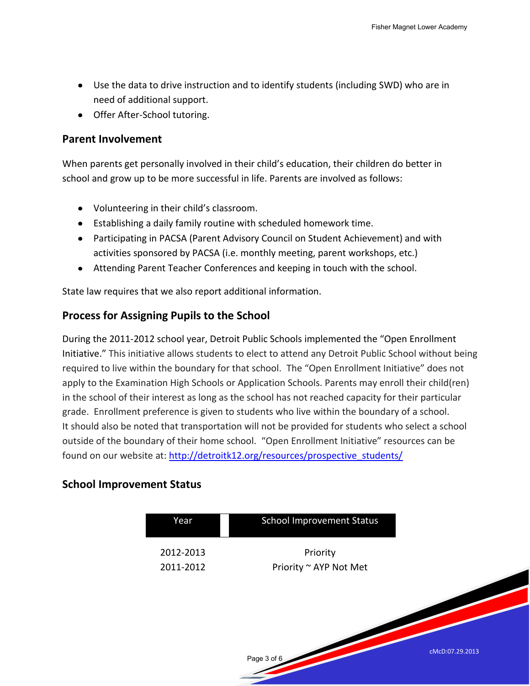- Use the data to drive instruction and to identify students (including SWD) who are in need of additional support.
- Offer After-School tutoring.

#### **Parent Involvement**

When parents get personally involved in their child's education, their children do better in school and grow up to be more successful in life. Parents are involved as follows:

- Volunteering in their child's classroom.
- Establishing a daily family routine with scheduled homework time.
- Participating in PACSA (Parent Advisory Council on Student Achievement) and with activities sponsored by PACSA (i.e. monthly meeting, parent workshops, etc.)
- Attending Parent Teacher Conferences and keeping in touch with the school.

State law requires that we also report additional information.

## **Process for Assigning Pupils to the School**

During the 2011-2012 school year, Detroit Public Schools implemented the "Open Enrollment Initiative." This initiative allows students to elect to attend any Detroit Public School without being required to live within the boundary for that school. The "Open Enrollment Initiative" does not apply to the Examination High Schools or Application Schools. Parents may enroll their child(ren) in the school of their interest as long as the school has not reached capacity for their particular grade. Enrollment preference is given to students who live within the boundary of a school. It should also be noted that transportation will not be provided for students who select a school outside of the boundary of their home school. "Open Enrollment Initiative" resources can be found on our website at: [http://detroitk12.org/resources/prospective\\_students/](http://detroitk12.org/resources/prospective_students/)

## **School Improvement Status**

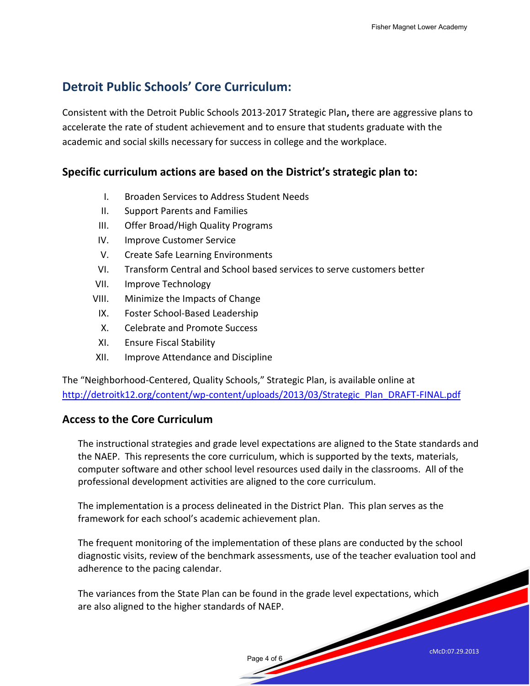## **Detroit Public Schools' Core Curriculum:**

Consistent with the Detroit Public Schools 2013-2017 Strategic Plan**,** there are aggressive plans to accelerate the rate of student achievement and to ensure that students graduate with the academic and social skills necessary for success in college and the workplace.

## **Specific curriculum actions are based on the District's strategic plan to:**

- I. Broaden Services to Address Student Needs
- II. Support Parents and Families
- III. Offer Broad/High Quality Programs
- IV. Improve Customer Service
- V. Create Safe Learning Environments
- VI. Transform Central and School based services to serve customers better
- VII. Improve Technology
- VIII. Minimize the Impacts of Change
	- IX. Foster School-Based Leadership
	- X. Celebrate and Promote Success
- XI. Ensure Fiscal Stability
- XII. Improve Attendance and Discipline

The "Neighborhood-Centered, Quality Schools," Strategic Plan, is available online at [http://detroitk12.org/content/wp-content/uploads/2013/03/Strategic\\_Plan\\_DRAFT-FINAL.pdf](http://detroitk12.org/content/wp-content/uploads/2013/03/Strategic_Plan_DRAFT-FINAL.pdf)

## **Access to the Core Curriculum**

The instructional strategies and grade level expectations are aligned to the State standards and the NAEP. This represents the core curriculum, which is supported by the texts, materials, computer software and other school level resources used daily in the classrooms. All of the professional development activities are aligned to the core curriculum.

The implementation is a process delineated in the District Plan. This plan serves as the framework for each school's academic achievement plan.

The frequent monitoring of the implementation of these plans are conducted by the school diagnostic visits, review of the benchmark assessments, use of the teacher evaluation tool and adherence to the pacing calendar.

The variances from the State Plan can be found in the grade level expectations, which are also aligned to the higher standards of NAEP.

Page 4 of 6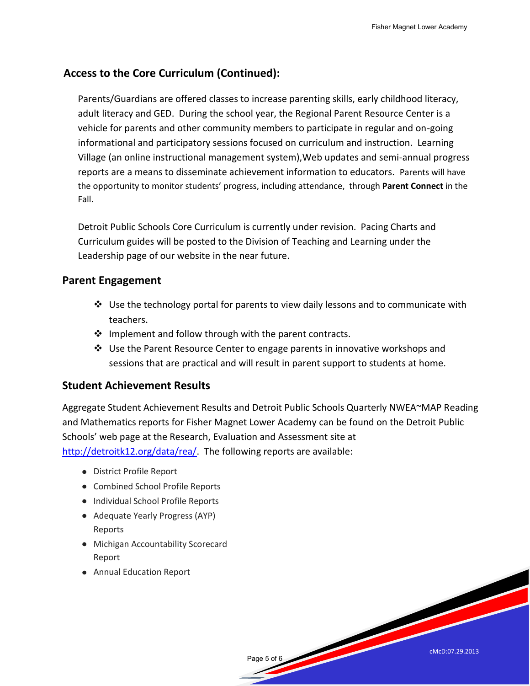## **Access to the Core Curriculum (Continued):**

Parents/Guardians are offered classes to increase parenting skills, early childhood literacy, adult literacy and GED. During the school year, the Regional Parent Resource Center is a vehicle for parents and other community members to participate in regular and on-going informational and participatory sessions focused on curriculum and instruction. Learning Village (an online instructional management system),Web updates and semi-annual progress reports are a means to disseminate achievement information to educators. Parents will have the opportunity to monitor students' progress, including attendance, through **Parent Connect** in the Fall.

Detroit Public Schools Core Curriculum is currently under revision. Pacing Charts and Curriculum guides will be posted to the Division of Teaching and Learning under the Leadership page of our website in the near future.

## **Parent Engagement**

- $\cdot$  Use the technology portal for parents to view daily lessons and to communicate with teachers.
- $\cdot \cdot$  Implement and follow through with the parent contracts.
- $\div$  Use the Parent Resource Center to engage parents in innovative workshops and sessions that are practical and will result in parent support to students at home.

## **Student Achievement Results**

Aggregate Student Achievement Results and Detroit Public Schools Quarterly NWEA~MAP Reading and Mathematics reports for Fisher Magnet Lower Academy can be found on the Detroit Public Schools' web page at the Research, Evaluation and Assessment site at [http://detroitk12.org/data/rea/.](http://detroitk12.org/data/rea/) The following reports are available:

- District Profile Report
- Combined School Profile Reports
- Individual School Profile Reports
- Adequate Yearly Progress (AYP) Reports
- Michigan Accountability Scorecard Report
- Annual Education Report